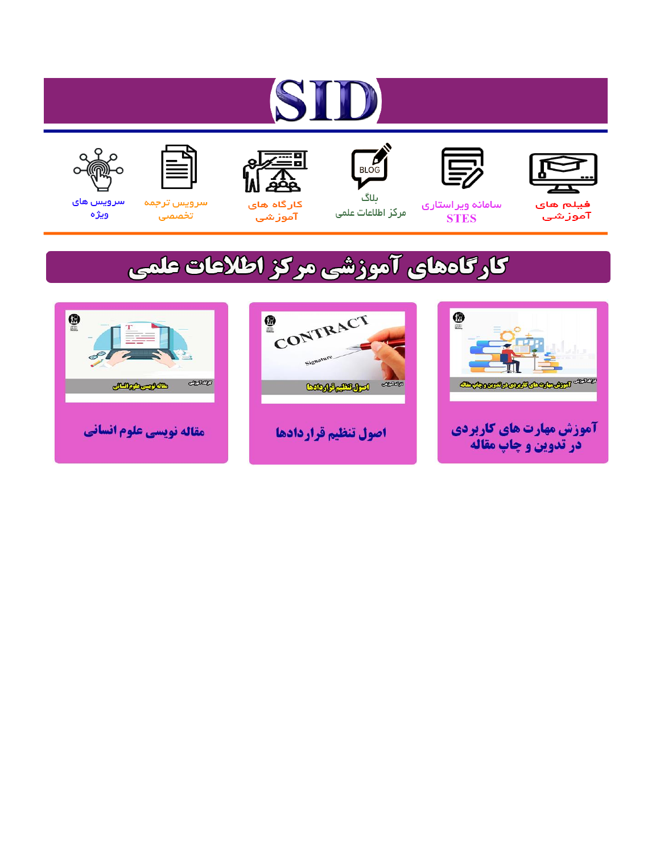# ST











مرکز اطلاعات علمی

 $\frac{1}{\sqrt{\frac{1}{100}}}$ ىلاگ



آموزشي

空

سرويس ترجمه تخصصى



سرویس های ويژه

## كارگاههای آموزشی مركز اطلاعات علمی





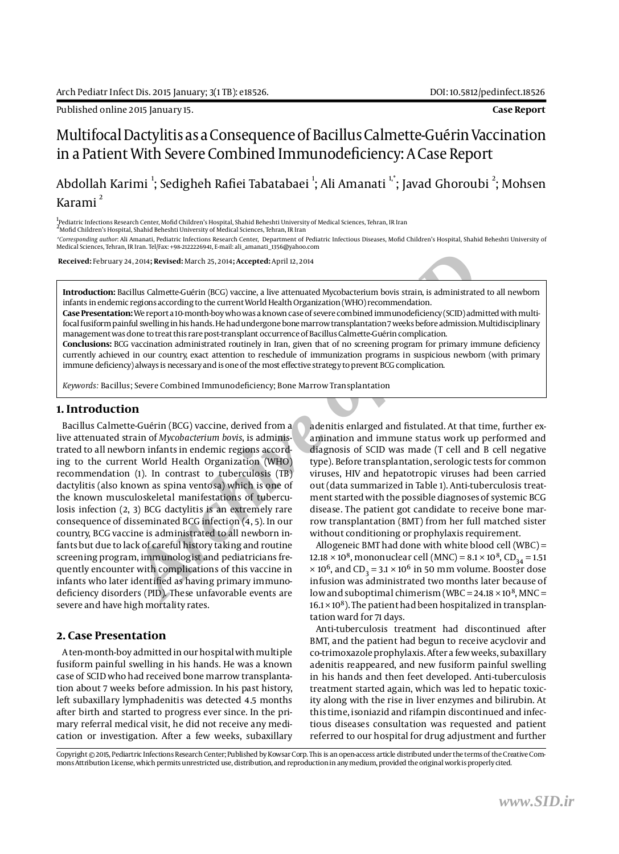Published online 2015 January 15. **Case Report**

### Multifocal Dactylitis as a Consequence of Bacillus Calmette-Guérin Vaccination in a Patient With Severe Combined Immunodeficiency: A Case Report

#### Abdollah Karimi <sup>1</sup>; Sedigheh Rafiei Tabatabaei <sup>1</sup>; Ali Amanati <sup>1,</sup>\*; Javad Ghoroubi <sup>2</sup>; Mohsen Karami<sup>2</sup>

1<br><sup>I</sup>Pediatric Infections Research Center, Mofid Children's Hospital, Shahid Beheshti University of Medical Sciences, Tehran, IR Iran

 $^2$ Mofid Children's Hospital, Shahid Beheshti University of Medical Sciences, Tehran, IR Iran

*\*Corresponding author*: Ali Amanati, Pediatric Infections Research Center, Department of Pediatric Infectious Diseases, Mofid Children's Hospital, Shahid Beheshti University of Medical Sciences, Tehran, IR Iran. Tel/Fax: +98-2122226941, E-mail: ali\_amanati\_1356@yahoo.com

 **Received:** February 24, 2014**; Revised:** March 25, 2014**; Accepted:** April 12, 2014

**Introduction:** Bacillus Calmette-Guérin (BCG) vaccine, a live attenuated Mycobacterium bovis strain, is administrated to all newborn infants in endemic regions according to the current World Health Organization (WHO) recommendation.

**Case Presentation:** We report a 10-month-boy who was a known case of severe combined immunodeficiency (SCID) admitted with multifocal fusiform painful swelling in his hands. He had undergone bone marrow transplantation 7 weeks before admission. Multidisciplinary management was done to treat this rare post-transplant occurrence of Bacillus Calmette-Guérin complication.

**Conclusions:** BCG vaccination administrated routinely in Iran, given that of no screening program for primary immune deficiency currently achieved in our country, exact attention to reschedule of immunization programs in suspicious newborn (with primary immune deficiency) always is necessary and is one of the most effective strategy to prevent BCG complication.

*Keywords:* Bacillus; Severe Combined Immunodeficiency; Bone Marrow Transplantation

#### **1. Introduction**

24, 2014**; Revised:** March 25, 2014**; Accepted:** April 2, 2014<br>
acclust Calmette-Guérin (BCG) vaccine, a live attenuated Mycobacterium bovis strain, is administrated regions according to the current World Health Organizati Bacillus Calmette-Guérin (BCG) vaccine, derived from a live attenuated strain of *Mycobacterium bovis*, is administrated to all newborn infants in endemic regions according to the current World Health Organization (WHO) recommendation (1). In contrast to tuberculosis (TB) dactylitis (also known as spina ventosa) which is one of the known musculoskeletal manifestations of tuberculosis infection (2, 3) BCG dactylitis is an extremely rare consequence of disseminated BCG infection (4, 5). In our country, BCG vaccine is administrated to all newborn infants but due to lack of careful history taking and routine screening program, immunologist and pediatricians frequently encounter with complications of this vaccine in infants who later identified as having primary immunodeficiency disorders (PID). These unfavorable events are severe and have high mortality rates.

#### **2. Case Presentation**

A ten-month-boy admitted in our hospital with multiple fusiform painful swelling in his hands. He was a known case of SCID who had received bone marrow transplantation about 7 weeks before admission. In his past history, left subaxillary lymphadenitis was detected 4.5 months after birth and started to progress ever since. In the primary referral medical visit, he did not receive any medication or investigation. After a few weeks, subaxillary adenitis enlarged and fistulated. At that time, further examination and immune status work up performed and diagnosis of SCID was made (T cell and B cell negative type). Before transplantation, serologic tests for common viruses, HIV and hepatotropic viruses had been carried out (data summarized in Table 1). Anti-tuberculosis treatment started with the possible diagnoses of systemic BCG disease. The patient got candidate to receive bone marrow transplantation (BMT) from her full matched sister without conditioning or prophylaxis requirement.

Allogeneic BMT had done with white blood cell (WBC) = 12.18  $\times$  10<sup>8</sup>, mononuclear cell (MNC) = 8.1  $\times$  10<sup>8</sup>, CD<sub>34</sub> = 1.51  $\times$  10<sup>6</sup>, and CD<sub>3</sub> = 3.1  $\times$  10<sup>6</sup> in 50 mm volume. Booster dose infusion was administrated two months later because of low and suboptimal chimerism (WBC =  $24.18 \times 10^8$ , MNC =  $16.1 \times 10^8$ ). The patient had been hospitalized in transplantation ward for 71 days.

Anti-tuberculosis treatment had discontinued after BMT, and the patient had begun to receive acyclovir and co-trimoxazole prophylaxis. After a few weeks, subaxillary adenitis reappeared, and new fusiform painful swelling in his hands and then feet developed. Anti-tuberculosis treatment started again, which was led to hepatic toxicity along with the rise in liver enzymes and bilirubin. At this time, isoniazid and rifampin discontinued and infectious diseases consultation was requested and patient referred to our hospital for drug adjustment and further

Copyright © 2015, Pediartric Infections Research Center; Published by Kowsar Corp. This is an open-access article distributed under the terms of the Creative Commons Attribution License, which permits unrestricted use, distribution, and reproduction in any medium, provided the original work is properly cited.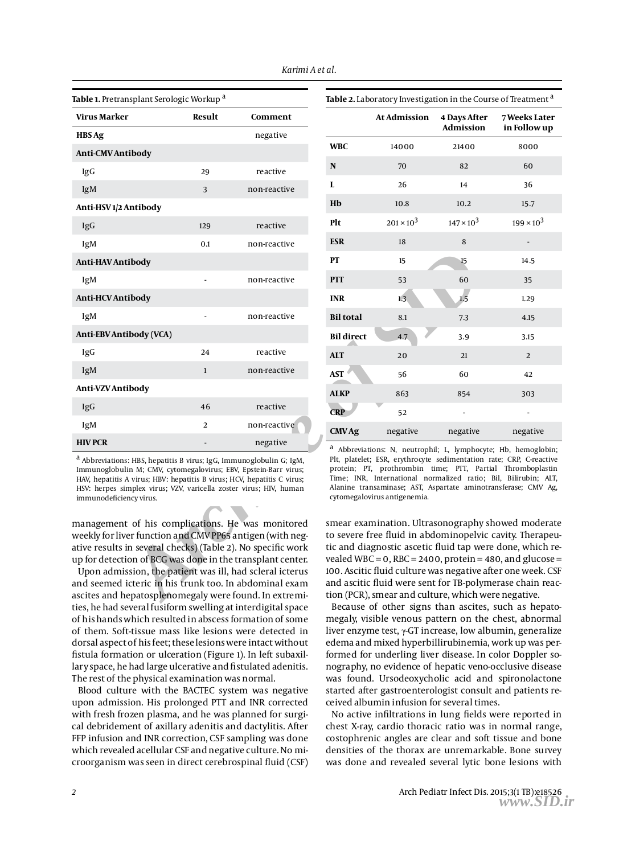| Table 1. Pretransplant Serologic Workup <sup>a</sup>                                                                                                                                                                                                                                                                                                                                                                         |              |              |                   | Table 2. Laboratory Investigation in the Co                                                                                                                                                                                                                                                    |                                |
|------------------------------------------------------------------------------------------------------------------------------------------------------------------------------------------------------------------------------------------------------------------------------------------------------------------------------------------------------------------------------------------------------------------------------|--------------|--------------|-------------------|------------------------------------------------------------------------------------------------------------------------------------------------------------------------------------------------------------------------------------------------------------------------------------------------|--------------------------------|
| Virus Marker                                                                                                                                                                                                                                                                                                                                                                                                                 | Result       | Comment      |                   | <b>At Admission</b>                                                                                                                                                                                                                                                                            | 4 Days Afte<br><b>Admissio</b> |
| <b>HBS</b> Ag                                                                                                                                                                                                                                                                                                                                                                                                                |              | negative     | <b>WBC</b>        | 14000                                                                                                                                                                                                                                                                                          | 21400                          |
| <b>Anti-CMV Antibody</b>                                                                                                                                                                                                                                                                                                                                                                                                     |              |              |                   |                                                                                                                                                                                                                                                                                                |                                |
| IgG                                                                                                                                                                                                                                                                                                                                                                                                                          | 29           | reactive     | N                 | 70                                                                                                                                                                                                                                                                                             | 82                             |
| IgM                                                                                                                                                                                                                                                                                                                                                                                                                          | 3            | non-reactive | L                 | 26                                                                                                                                                                                                                                                                                             | 14                             |
| Anti-HSV1/2 Antibody                                                                                                                                                                                                                                                                                                                                                                                                         |              |              | Hb                | 10.8                                                                                                                                                                                                                                                                                           | 10.2                           |
| IgG                                                                                                                                                                                                                                                                                                                                                                                                                          | 129          | reactive     | Plt               | $201 \times 10^{3}$                                                                                                                                                                                                                                                                            | $147 \times 10^{3}$            |
| IgM                                                                                                                                                                                                                                                                                                                                                                                                                          | 0.1          | non-reactive | <b>ESR</b>        | 18                                                                                                                                                                                                                                                                                             | 8                              |
| Anti-HAV Antibody                                                                                                                                                                                                                                                                                                                                                                                                            |              |              | PТ                | 15                                                                                                                                                                                                                                                                                             | 15                             |
| IgM                                                                                                                                                                                                                                                                                                                                                                                                                          |              | non-reactive | PTT               | 53                                                                                                                                                                                                                                                                                             | 60                             |
| <b>Anti-HCV Antibody</b>                                                                                                                                                                                                                                                                                                                                                                                                     |              |              | <b>INR</b>        | 1.3                                                                                                                                                                                                                                                                                            | 1.5                            |
| IgM                                                                                                                                                                                                                                                                                                                                                                                                                          |              | non-reactive | <b>Bil total</b>  | 8.1                                                                                                                                                                                                                                                                                            | 7.3                            |
| Anti-EBV Antibody (VCA)                                                                                                                                                                                                                                                                                                                                                                                                      |              |              | <b>Bil direct</b> | 4.7                                                                                                                                                                                                                                                                                            | 3.9                            |
| IgG                                                                                                                                                                                                                                                                                                                                                                                                                          | 24           | reactive     | <b>ALT</b>        | 20                                                                                                                                                                                                                                                                                             | 21                             |
| IgM                                                                                                                                                                                                                                                                                                                                                                                                                          | $\mathbf{1}$ | non-reactive | AST               | 56                                                                                                                                                                                                                                                                                             | 60                             |
| Anti-VZV Antibody                                                                                                                                                                                                                                                                                                                                                                                                            |              |              | <b>ALKP</b>       | 863                                                                                                                                                                                                                                                                                            | 854                            |
| IgG                                                                                                                                                                                                                                                                                                                                                                                                                          | 46           | reactive     | <b>CRP</b>        | 52                                                                                                                                                                                                                                                                                             |                                |
| IgM                                                                                                                                                                                                                                                                                                                                                                                                                          | 2            | non-reactive | <b>CMV Ag</b>     | negative                                                                                                                                                                                                                                                                                       | negative                       |
| <b>HIV PCR</b>                                                                                                                                                                                                                                                                                                                                                                                                               |              | negative     |                   | <sup>a</sup> Abbreviations: N, neutrophil; L, lymphoe                                                                                                                                                                                                                                          |                                |
| <sup>a</sup> Abbreviations: HBS, hepatitis B virus; IgG, Immunoglobulin G; IgM,<br>Immunoglobulin M; CMV, cytomegalovirus; EBV, Epstein-Barr virus;<br>HAV, hepatitis A virus; HBV: hepatitis B virus; HCV, hepatitis C virus;<br>HSV: herpes simplex virus; VZV, varicella zoster virus; HIV, human<br>immunodeficiency virus.                                                                                              |              |              |                   | Plt, platelet; ESR, erythrocyte sedimentation<br>protein; PT, prothrombin time; PTT, Pa<br>Time; INR, International normalized ration<br>Alanine transaminase; AST, Aspartate amin<br>cytomegalovirus antigenemia.                                                                             |                                |
| management of his complications. He was monitored<br>weekly for liver function and CMV PP65 antigen (with neg-<br>ative results in several checks) (Table 2). No specific work<br>up for detection of BCG was done in the transplant center.<br>Upon admission, the patient was ill, had scleral icterus<br>and seemed icteric in his trunk too. In abdominal exam<br>ascites and hepatosplenomegaly were found. In extremi- |              |              |                   | smear examination. Ultrasonography<br>to severe free fluid in abdominopelv<br>tic and diagnostic ascetic fluid tap w<br>vealed WBC = $0$ , RBC = 2400, protein =<br>100. Ascitic fluid culture was negative<br>and ascitic fluid were sent for TB-poly<br>tion (PCR), smear and culture, which |                                |

| 1.11                                                                                                                                                                                                                           | 11011110401110 |  |
|--------------------------------------------------------------------------------------------------------------------------------------------------------------------------------------------------------------------------------|----------------|--|
| HIV PCR                                                                                                                                                                                                                        | negative       |  |
| <sup>a</sup> Abbreviations: HBS, hepatitis B virus; IgG, Immunoglobulin G; IgM,<br>Immunoglobulin M; CMV, cytomegalovirus; EBV, Epstein-Barr virus;<br>HAV, hepatitis A virus; HBV: hepatitis B virus; HCV, hepatitis C virus; |                |  |
| HSV: herpes simplex virus; VZV, varicella zoster virus; HIV, human                                                                                                                                                             |                |  |

Upon admission, the patient was ill, had scleral icterus and seemed icteric in his trunk too. In abdominal exam ascites and hepatosplenomegaly were found. In extremities, he had several fusiform swelling at interdigital space of his hands which resulted in abscess formation of some of them. Soft-tissue mass like lesions were detected in dorsal aspect of his feet; these lesions were intact without fistula formation or ulceration (Figure 1). In left subaxillary space, he had large ulcerative and fistulated adenitis. The rest of the physical examination was normal.

Blood culture with the BACTEC system was negative upon admission. His prolonged PTT and INR corrected with fresh frozen plasma, and he was planned for surgical debridement of axillary adenitis and dactylitis. After FFP infusion and INR correction, CSF sampling was done which revealed acellular CSF and negative culture. No microorganism was seen in direct cerebrospinal fluid (CSF)

|                   | <b>At Admission</b> | <b>4 Days After</b><br>7 Weeks Later<br><b>Admission</b> |                     |
|-------------------|---------------------|----------------------------------------------------------|---------------------|
|                   |                     |                                                          | in Follow up        |
| <b>WBC</b>        | 14000               | 21400                                                    | 8000                |
| ${\bf N}$         | 70                  | 82                                                       | 60                  |
| L                 | 26                  | 14                                                       | 36                  |
| Hb                | 10.8                | 10.2                                                     | 15.7                |
| Plt               | $201 \times 10^{3}$ | $147 \times 10^{3}$                                      | $199 \times 10^{3}$ |
| <b>ESR</b>        | 18                  | 8                                                        |                     |
| PT                | 15                  | 15                                                       | 14.5                |
| PTT               | 53                  | 60                                                       | 35                  |
| <b>INR</b>        | 1.3                 | 1.5                                                      | 1.29                |
| <b>Bil total</b>  | 8.1                 | 7.3                                                      | 4.15                |
| <b>Bil direct</b> | 4.7                 | 3.9                                                      | 3.15                |
| <b>ALT</b>        | 20                  | 21                                                       | $\overline{2}$      |
| <b>AST</b>        | 56                  | 60                                                       | 42                  |
| <b>ALKP</b>       | 863                 | 854                                                      | 303                 |
| <b>CRP</b>        | 52                  |                                                          |                     |
| <b>CMV Ag</b>     | negative            | negative                                                 | negative            |

a Abbreviations: N, neutrophil; L, lymphocyte; Hb, hemoglobin; Plt, platelet; ESR, erythrocyte sedimentation rate; CRP, C-reactive protein; PT, prothrombin time; PTT, Partial Thromboplastin Time; INR, International normalized ratio; Bil, Bilirubin; ALT, Alanine transaminase; AST, Aspartate aminotransferase; CMV Ag, cytomegalovirus antigenemia.

smear examination. Ultrasonography showed moderate to severe free fluid in abdominopelvic cavity. Therapeutic and diagnostic ascetic fluid tap were done, which revealed WBC =  $0,$  RBC =  $2400,$  protein =  $480,$  and glucose = 100. Ascitic fluid culture was negative after one week. CSF and ascitic fluid were sent for TB-polymerase chain reaction (PCR), smear and culture, which were negative.

Because of other signs than ascites, such as hepatomegaly, visible venous pattern on the chest, abnormal liver enzyme test, γ-GT increase, low albumin, generalize edema and mixed hyperbillirubinemia, work up was performed for underling liver disease. In color Doppler sonography, no evidence of hepatic veno-occlusive disease was found. Ursodeoxycholic acid and spironolactone started after gastroenterologist consult and patients received albumin infusion for several times.

No active infiltrations in lung fields were reported in chest X-ray, cardio thoracic ratio was in normal range, costophrenic angles are clear and soft tissue and bone densities of the thorax are unremarkable. Bone survey was done and revealed several lytic bone lesions with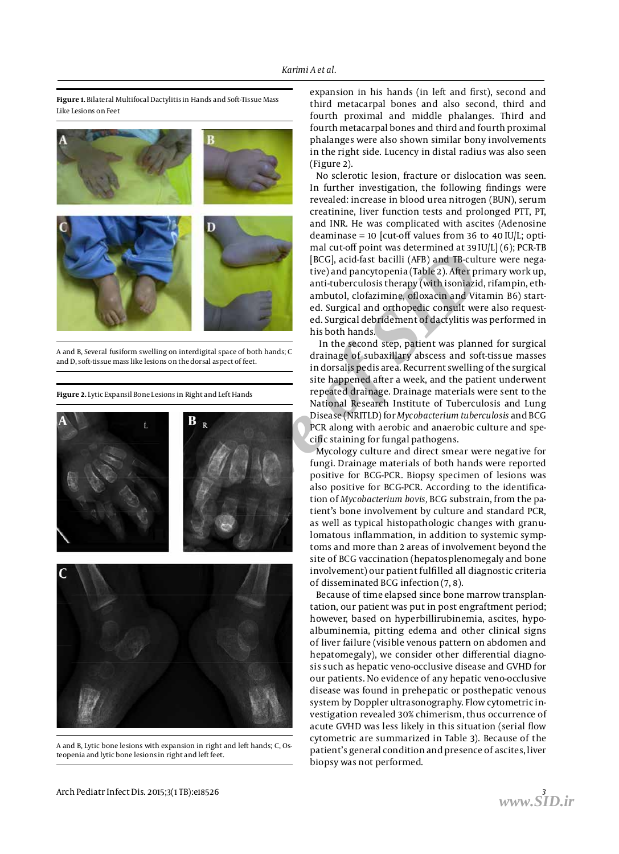

**Figure 1.** Bilateral Multifocal Dactylitis in Hands and Soft-Tissue Mass Like Lesions on Feet

A and B, Several fusiform swelling on interdigital space of both hands; C and D, soft-tissue mass like lesions on the dorsal aspect of feet.

**Figure 2.** Lytic Expansil Bone Lesions in Right and Left Hands



A and B, Lytic bone lesions with expansion in right and left hands; C, Osteopenia and lytic bone lesions in right and left feet.

expansion in his hands (in left and first), second and third metacarpal bones and also second, third and fourth proximal and middle phalanges. Third and fourth metacarpal bones and third and fourth proximal phalanges were also shown similar bony involvements in the right side. Lucency in distal radius was also seen (Figure 2).

No sclerotic lesion, fracture or dislocation was seen. In further investigation, the following findings were revealed: increase in blood urea nitrogen (BUN), serum creatinine, liver function tests and prolonged PTT, PT, and INR. He was complicated with ascites (Adenosine deaminase = 10 [cut-off values from 36 to 40 IU/L; optimal cut-off point was determined at 39 IU/L] (6); PCR-TB [BCG], acid-fast bacilli (AFB) and TB-culture were negative) and pancytopenia (Table 2). After primary work up, anti-tuberculosis therapy (with isoniazid, rifampin, ethambutol, clofazimine, ofloxacin and Vitamin B6) started. Surgical and orthopedic consult were also requested. Surgical debridement of dactylitis was performed in his both hands.

 In the second step, patient was planned for surgical drainage of subaxillary abscess and soft-tissue masses in dorsalis pedis area. Recurrent swelling of the surgical site happened after a week, and the patient underwent repeated drainage. Drainage materials were sent to the National Research Institute of Tuberculosis and Lung Disease (NRITLD) for *Mycobacterium tuberculosis* and BCG PCR along with aerobic and anaerobic culture and specific staining for fungal pathogens.

Mycology culture and direct smear were negative for fungi. Drainage materials of both hands were reported positive for BCG-PCR. Biopsy specimen of lesions was also positive for BCG-PCR. According to the identification of *Mycobacterium bovis,* BCG substrain, from the patient's bone involvement by culture and standard PCR, as well as typical histopathologic changes with granulomatous inflammation, in addition to systemic symptoms and more than 2 areas of involvement beyond the site of BCG vaccination (hepatosplenomegaly and bone involvement) our patient fulfilled all diagnostic criteria of disseminated BCG infection (7, 8).

Because of time elapsed since bone marrow transplantation, our patient was put in post engraftment period; however, based on hyperbillirubinemia, ascites, hypoalbuminemia, pitting edema and other clinical signs of liver failure (visible venous pattern on abdomen and hepatomegaly), we consider other differential diagnosis such as hepatic veno-occlusive disease and GVHD for our patients. No evidence of any hepatic veno-occlusive disease was found in prehepatic or posthepatic venous system by Doppler ultrasonography. Flow cytometric investigation revealed 30% chimerism, thus occurrence of acute GVHD was less likely in this situation (serial flow cytometric are summarized in Table 3). Because of the patient's general condition and presence of ascites, liver biopsy was not performed.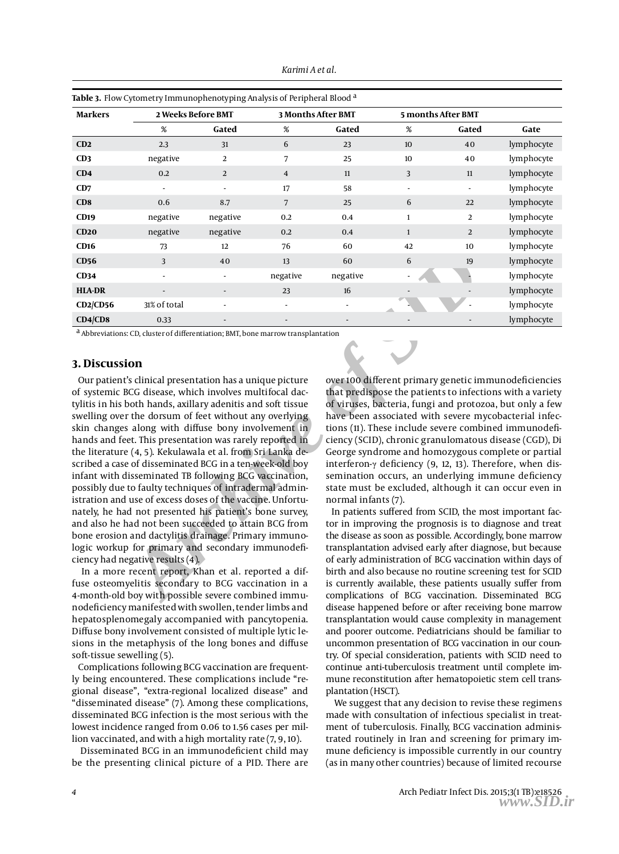| <b>Table 3.</b> Flow Cytometry Immunophenotyping Analysis of Peripheral Blood <sup>a</sup> |                          |                          |                           |                          |                          |       |            |
|--------------------------------------------------------------------------------------------|--------------------------|--------------------------|---------------------------|--------------------------|--------------------------|-------|------------|
| <b>Markers</b>                                                                             | 2 Weeks Before BMT       |                          | <b>3 Months After BMT</b> |                          | 5 months After BMT       |       |            |
|                                                                                            | %                        | Gated                    | %                         | Gated                    | %                        | Gated | Gate       |
| CD2                                                                                        | 2.3                      | 31                       | 6                         | 23                       | 10                       | 40    | lymphocyte |
| CD3                                                                                        | negative                 | 2                        | 7                         | 25                       | 10                       | 40    | lymphocyte |
| CD4                                                                                        | 0.2                      | 2                        | $\overline{4}$            | 11                       | 3                        | 11    | lymphocyte |
| CD7                                                                                        | $\overline{\phantom{a}}$ | $\overline{\phantom{a}}$ | 17                        | 58                       | $\overline{\phantom{a}}$ |       | lymphocyte |
| CD <sub>8</sub>                                                                            | 0.6                      | 8.7                      | 7                         | 25                       | 6                        | 22    | lymphocyte |
| CD19                                                                                       | negative                 | negative                 | 0.2                       | 0.4                      | $\mathbf{1}$             | 2     | lymphocyte |
| CD20                                                                                       | negative                 | negative                 | 0.2                       | 0.4                      | $\mathbf{1}$             | 2     | lymphocyte |
| CD16                                                                                       | 73                       | 12                       | 76                        | 60                       | 42                       | 10    | lymphocyte |
| CD56                                                                                       | 3                        | 40                       | 13                        | 60                       | 6                        | 19    | lymphocyte |
| CD34                                                                                       | $\overline{\phantom{a}}$ | $\blacksquare$           | negative                  | negative                 | $\blacksquare$           |       | lymphocyte |
| <b>HLA-DR</b>                                                                              | $\overline{\phantom{a}}$ | $\overline{\phantom{a}}$ | 23                        | 16                       |                          |       | lymphocyte |
| $CD2$ / $CD56$                                                                             | 31% of total             |                          | $\overline{\phantom{a}}$  | $\overline{\phantom{a}}$ |                          |       | lymphocyte |
| CD4/CD8                                                                                    | 0.33                     |                          |                           |                          |                          |       | lymphocyte |

a Abbreviations: CD, cluster of differentiation; BMT, bone marrow transplantation

#### **3. Discussion**

<sup>3</sup> 40 13 60 6 6 19<br> **Archive of SID**<br> **Archive of SID**<br> **Archive of SID**<br> **Archive of SID**<br> **Archive of SID**<br> **Archive of SID**<br> **Archive of SID**<br> **Archive of SID**<br> **Archive of SID**<br> **Archive of SID**<br> **Archive of SID**<br> **Ar** Our patient's clinical presentation has a unique picture of systemic BCG disease, which involves multifocal dactylitis in his both hands, axillary adenitis and soft tissue swelling over the dorsum of feet without any overlying skin changes along with diffuse bony involvement in hands and feet. This presentation was rarely reported in the literature (4, 5). Kekulawala et al. from Sri Lanka described a case of disseminated BCG in a ten-week-old boy infant with disseminated TB following BCG vaccination, possibly due to faulty techniques of intradermal administration and use of excess doses of the vaccine. Unfortunately, he had not presented his patient's bone survey, and also he had not been succeeded to attain BCG from bone erosion and dactylitis drainage. Primary immunologic workup for primary and secondary immunodeficiency had negative results (4).

 In a more recent report, Khan et al. reported a diffuse osteomyelitis secondary to BCG vaccination in a 4-month-old boy with possible severe combined immunodeficiency manifested with swollen, tender limbs and hepatosplenomegaly accompanied with pancytopenia. Diffuse bony involvement consisted of multiple lytic lesions in the metaphysis of the long bones and diffuse soft-tissue sewelling (5).

Complications following BCG vaccination are frequently being encountered. These complications include "regional disease", "extra-regional localized disease" and "disseminated disease" (7). Among these complications, disseminated BCG infection is the most serious with the lowest incidence ranged from 0.06 to 1.56 cases per million vaccinated, and with a high mortality rate (7, 9, 10).

 Disseminated BCG in an immunodeficient child may be the presenting clinical picture of a PID. There are over 100 different primary genetic immunodeficiencies that predispose the patients to infections with a variety of viruses, bacteria, fungi and protozoa, but only a few have been associated with severe mycobacterial infections (11). These include severe combined immunodeficiency (SCID), chronic granulomatous disease (CGD), Di George syndrome and homozygous complete or partial interferon-γ deficiency (9, 12, 13). Therefore, when dissemination occurs, an underlying immune deficiency state must be excluded, although it can occur even in normal infants (7).

In patients suffered from SCID, the most important factor in improving the prognosis is to diagnose and treat the disease as soon as possible. Accordingly, bone marrow transplantation advised early after diagnose, but because of early administration of BCG vaccination within days of birth and also because no routine screening test for SCID is currently available, these patients usually suffer from complications of BCG vaccination. Disseminated BCG disease happened before or after receiving bone marrow transplantation would cause complexity in management and poorer outcome. Pediatricians should be familiar to uncommon presentation of BCG vaccination in our country. Of special consideration, patients with SCID need to continue anti-tuberculosis treatment until complete immune reconstitution after hematopoietic stem cell transplantation (HSCT).

 We suggest that any decision to revise these regimens made with consultation of infectious specialist in treatment of tuberculosis. Finally, BCG vaccination administrated routinely in Iran and screening for primary immune deficiency is impossible currently in our country (as in many other countries) because of limited recourse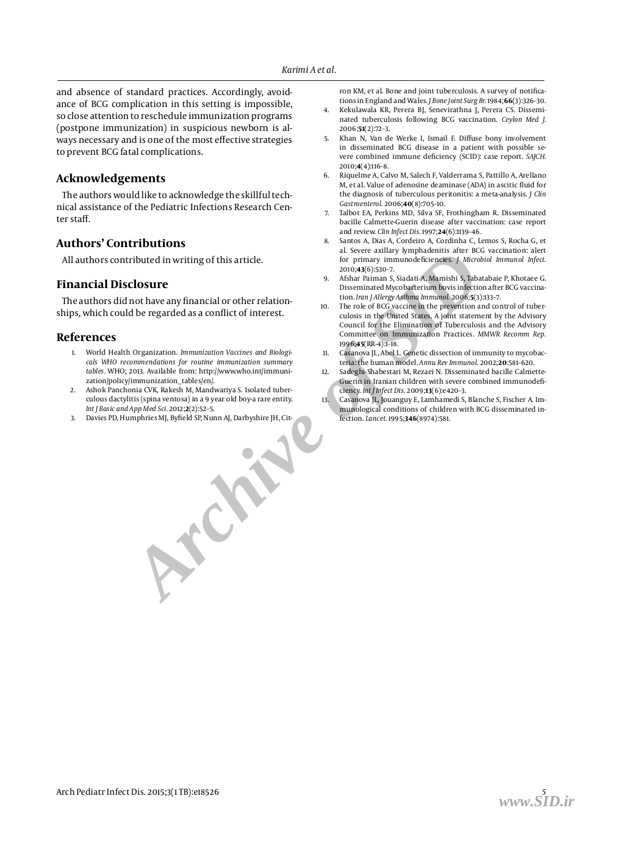and absence of standard practices. Accordingly, avoidance of BCG complication in this setting is impossible, so close attention to reschedule immunization programs (postpone immunization) in suspicious newborn is always necessary and is one of the most effective strategies to prevent BCG fatal complications.

#### **Acknowledgements**

The authors would like to acknowledge the skillful technical assistance of the Pediatric Infections Research Center staff.

#### **Authors' Contributions**

All authors contributed in writing of this article.

#### **Financial Disclosure**

The authors did not have any financial or other relationships, which could be regarded as a conflict of interest.

#### **References**

- *Archive of SID* 1. World Health Organization. *Immunization Vaccines and Biologicals WHO recommendations for routine immunization summary tables.* WHO; 2013. Available from: http://www.who.int/immunization/policy/immunization\_tables/en/.
- 2. Ashok Panchonia CVK, Rakesh M, Mandwariya S. Isolated tuberculous dactylitis (spina ventosa) in a 9 year old boy-a rare entity. *Int J Basic and App Med Sci.* 2012;**2**(2):52–5.
- Davies PD, Humphries MJ, Byfield SP, Nunn AJ, Darbyshire JH, Cit-

ron KM, et al. Bone and joint tuberculosis. A survey of notifications in England and Wales. *J Bone Joint Surg Br.* 1984;**66**(3):326–30.

- 4. Kekulawala KR, Perera BJ, Senevirathna J, Perera CS. Disseminated tuberculosis following BCG vaccination. *Ceylon Med J.* 2006;**51**(2):72–3.
- 5. Khan N, Van de Werke I, Ismail F. Diffuse bony involvement in disseminated BCG disease in a patient with possible severe combined immune deficiency (SCID): case report. *SAJCH.* 2010;**4**(4):116–8.
- 6. Riquelme A, Calvo M, Salech F, Valderrama S, Pattillo A, Arellano M, et al. Value of adenosine deaminase (ADA) in ascitic fluid for the diagnosis of tuberculous peritonitis: a meta-analysis. *J Clin Gastroenterol.* 2006;**40**(8):705–10.
- Talbot EA, Perkins MD, Silva SF, Frothingham R. Disseminated bacille Calmette-Guerin disease after vaccination: case report and review. *Clin Infect Dis.* 1997;**24**(6):1139–46.
- 8. Santos A, Dias A, Cordeiro A, Cordinha C, Lemos S, Rocha G, et al. Severe axillary lymphadenitis after BCG vaccination: alert for primary immunodeficiencies. *J Microbiol Immunol Infect.* 2010;**43**(6):530–7.
- 9. Afshar Paiman S, Siadati A, Mamishi S, Tabatabaie P, Khotaee G. Disseminated Mycobacterium bovis infection after BCG vaccination. *Iran J Allergy Asthma Immunol.* 2006;**5**(3):133–7.
- The role of BCG vaccine in the prevention and control of tuberculosis in the United States. A joint statement by the Advisory Council for the Elimination of Tuberculosis and the Advisory Committee on Immunization Practices. *MMWR Recomm Rep.* 1996;**45**(RR-4):1–18.
- Casanova JL, Abel L. Genetic dissection of immunity to mycobacteria: the human model. *Annu Rev Immunol.* 2002;**20**:581–620.
- Sadeghi-Shabestari M, Rezaei N. Disseminated bacille Calmette-Guerin in Iranian children with severe combined immunodeficiency. *Int J Infect Dis.* 2009;**13**(6):e420–3.
- Casanova JL, Jouanguy E, Lamhamedi S, Blanche S, Fischer A. Immunological conditions of children with BCG disseminated infection. *Lancet.* 1995;**346**(8974):581.